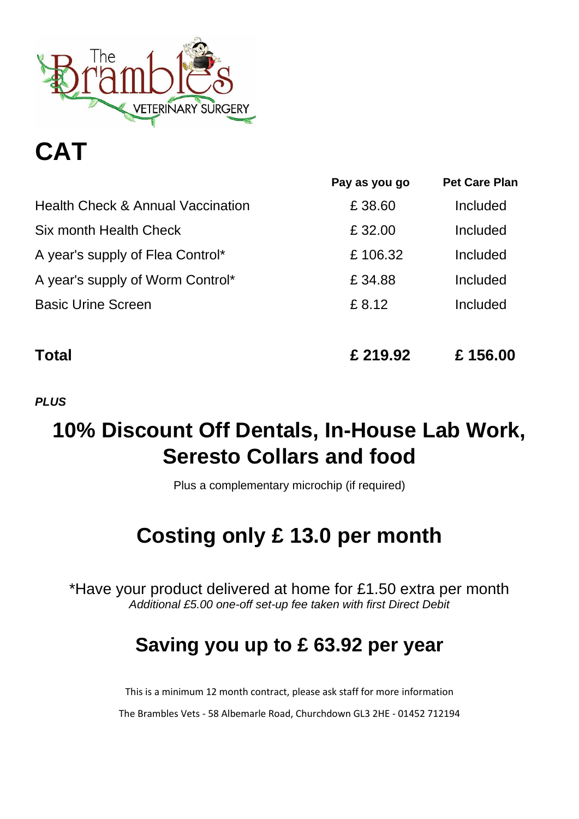

# **CAT**

|                                              | Pay as you go | <b>Pet Care Plan</b> |
|----------------------------------------------|---------------|----------------------|
| <b>Health Check &amp; Annual Vaccination</b> | £38.60        | Included             |
| Six month Health Check                       | £32.00        | Included             |
| A year's supply of Flea Control*             | £106.32       | Included             |
| A year's supply of Worm Control*             | £34.88        | Included             |
| <b>Basic Urine Screen</b>                    | £ 8.12        | Included             |
|                                              |               |                      |
| Total                                        | £ 219.92      | £156.00              |

### *PLUS*

### **10% Discount Off Dentals, In-House Lab Work, Seresto Collars and food**

Plus a complementary microchip (if required)

### **Costing only £ 13.0 per month**

\*Have your product delivered at home for £1.50 extra per month *Additional £5.00 one-off set-up fee taken with first Direct Debit*

### **Saving you up to £ 63.92 per year**

This is a minimum 12 month contract, please ask staff for more information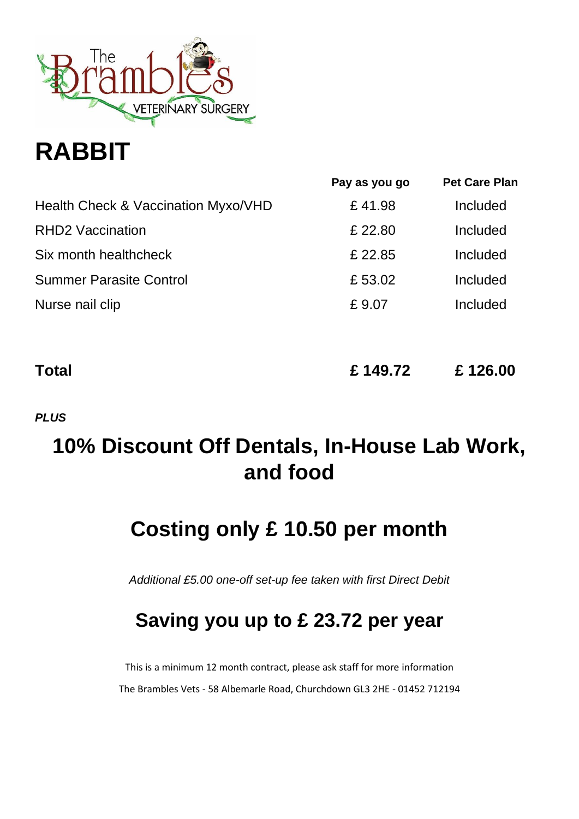

# **RABBIT**

|                                     | Pay as you go | <b>Pet Care Plan</b> |
|-------------------------------------|---------------|----------------------|
| Health Check & Vaccination Myxo/VHD | £41.98        | Included             |
| <b>RHD2 Vaccination</b>             | £22.80        | Included             |
| Six month healthcheck               | £22.85        | Included             |
| <b>Summer Parasite Control</b>      | £53.02        | Included             |
| Nurse nail clip                     | £9.07         | Included             |
|                                     |               |                      |

| Total | £149.72 | £126.00 |
|-------|---------|---------|
|       |         |         |

*PLUS*

### **10% Discount Off Dentals, In-House Lab Work, and food**

### **Costing only £ 10.50 per month**

*Additional £5.00 one-off set-up fee taken with first Direct Debit*

### **Saving you up to £ 23.72 per year**

This is a minimum 12 month contract, please ask staff for more information The Brambles Vets - 58 Albemarle Road, Churchdown GL3 2HE - 01452 712194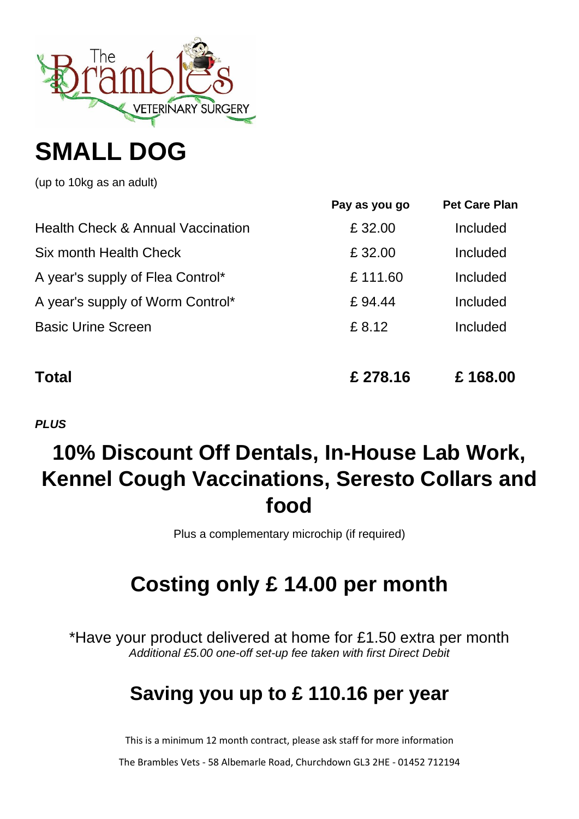

## **SMALL DOG**

(up to 10kg as an adult)

|                                              | Pay as you go | <b>Pet Care Plan</b> |
|----------------------------------------------|---------------|----------------------|
| <b>Health Check &amp; Annual Vaccination</b> | £ 32.00       | Included             |
| Six month Health Check                       | £ 32.00       | Included             |
| A year's supply of Flea Control*             | £111.60       | Included             |
| A year's supply of Worm Control*             | £94.44        | Included             |
| <b>Basic Urine Screen</b>                    | £ 8.12        | Included             |
|                                              |               |                      |
|                                              |               |                      |

**Total £ 278.16 £ 168.00**

*PLUS*

### **10% Discount Off Dentals, In-House Lab Work, Kennel Cough Vaccinations, Seresto Collars and food**

Plus a complementary microchip (if required)

## **Costing only £ 14.00 per month**

\*Have your product delivered at home for £1.50 extra per month *Additional £5.00 one-off set-up fee taken with first Direct Debit*

### **Saving you up to £ 110.16 per year**

This is a minimum 12 month contract, please ask staff for more information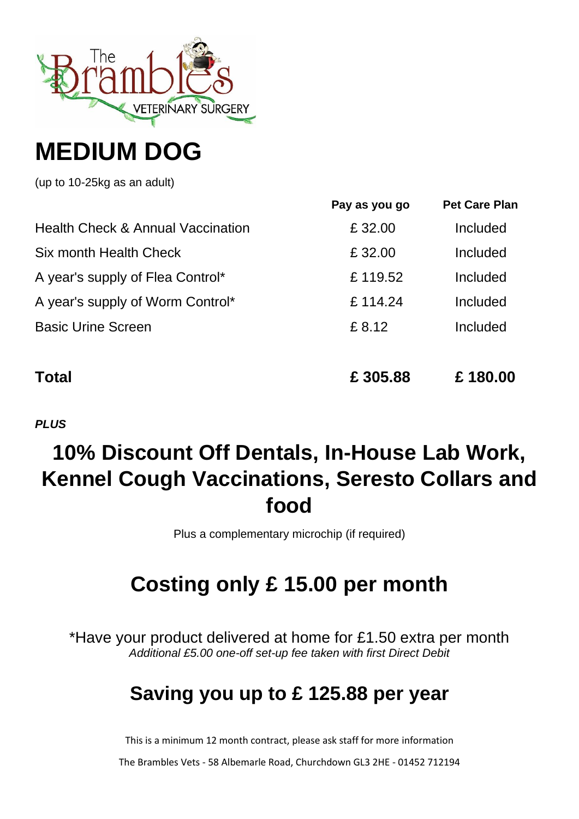

## **MEDIUM DOG**

(up to 10-25kg as an adult)

|                                              | Pay as you go | <b>Pet Care Plan</b> |
|----------------------------------------------|---------------|----------------------|
| <b>Health Check &amp; Annual Vaccination</b> | £ 32.00       | Included             |
| Six month Health Check                       | £ 32.00       | Included             |
| A year's supply of Flea Control*             | £119.52       | Included             |
| A year's supply of Worm Control*             | £114.24       | Included             |
| <b>Basic Urine Screen</b>                    | £ 8.12        | Included             |
|                                              |               |                      |
|                                              |               |                      |

**Total £ 305.88 £ 180.00**

*PLUS*

### **10% Discount Off Dentals, In-House Lab Work, Kennel Cough Vaccinations, Seresto Collars and food**

Plus a complementary microchip (if required)

### **Costing only £ 15.00 per month**

\*Have your product delivered at home for £1.50 extra per month *Additional £5.00 one-off set-up fee taken with first Direct Debit*

### **Saving you up to £ 125.88 per year**

This is a minimum 12 month contract, please ask staff for more information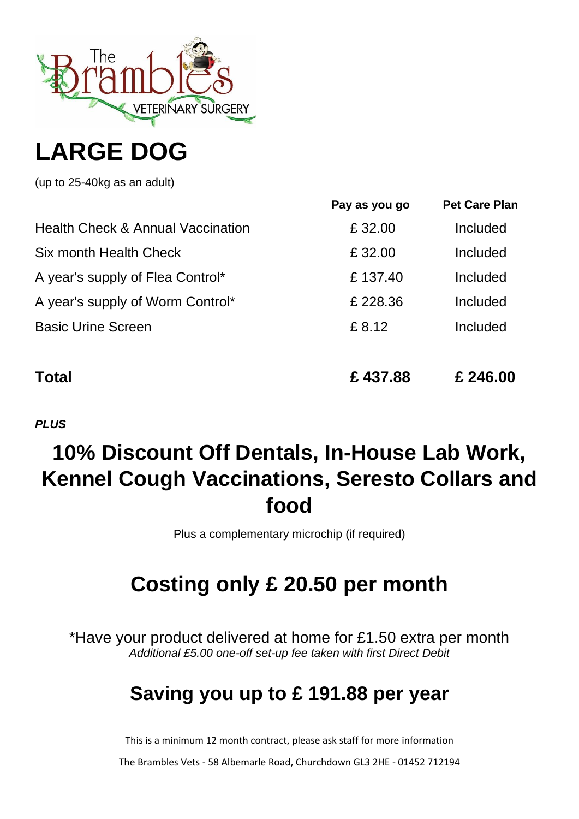

## **LARGE DOG**

(up to 25-40kg as an adult)

|                                              | Pay as you go | <b>Pet Care Plan</b> |
|----------------------------------------------|---------------|----------------------|
| <b>Health Check &amp; Annual Vaccination</b> | £32.00        | Included             |
| Six month Health Check                       | £32.00        | Included             |
| A year's supply of Flea Control*             | £137.40       | Included             |
| A year's supply of Worm Control*             | £228.36       | Included             |
| <b>Basic Urine Screen</b>                    | £8.12         | Included             |
|                                              |               |                      |
|                                              |               |                      |

**Total £ 437.88 £ 246.00**

*PLUS*

### **10% Discount Off Dentals, In-House Lab Work, Kennel Cough Vaccinations, Seresto Collars and food**

Plus a complementary microchip (if required)

## **Costing only £ 20.50 per month**

\*Have your product delivered at home for £1.50 extra per month *Additional £5.00 one-off set-up fee taken with first Direct Debit*

### **Saving you up to £ 191.88 per year**

This is a minimum 12 month contract, please ask staff for more information